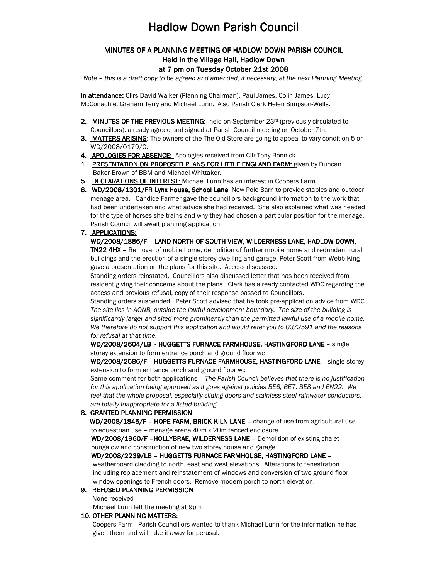# **Hadlow Down Parish Council**

# MINUTES OF A PLANNING MEETING OF HADLOW DOWN PARISH COUNCIL Held in the Village Hall, Hadlow Down

#### at 7 pm on Tuesday October 21st 2008

Note – this is a draft copy to be agreed and amended, if necessary, at the next Planning Meeting.

In attendance: Cllrs David Walker (Planning Chairman), Paul James, Colin James, Lucy McConachie, Graham Terry and Michael Lunn. Also Parish Clerk Helen Simpson-Wells.

- 2. MINUTES OF THE PREVIOUS MEETING: held on September 23rd (previously circulated to Councillors), already agreed and signed at Parish Council meeting on October 7th.
- 3. MATTERS ARISING: The owners of the The Old Store are going to appeal to vary condition 5 on WD/2008/0179/O.
- 4. APOLOGIES FOR ABSENCE: Apologies received from Cllr Tony Bonnick.
- 1. PRESENTATION ON PROPOSED PLANS FOR LITTLE ENGLAND FARM: given by Duncan Baker-Brown of BBM and Michael Whittaker.
- 5. DECLARATIONS OF INTEREST: Michael Lunn has an interest in Coopers Farm.
- 6. WD/2008/1301/FR Lynx House, School Lane: New Pole Barn to provide stables and outdoor menage area. Candice Farmer gave the councillors background information to the work that had been undertaken and what advice she had received. She also explained what was needed for the type of horses she trains and why they had chosen a particular position for the menage. Parish Council will await planning application.

### 7. APPLICATIONS:

## WD/2008/1886/F - LAND NORTH OF SOUTH VIEW, WILDERNESS LANE, HADLOW DOWN,

TN22 4HX - Removal of mobile home, demolition of further mobile home and redundant rural buildings and the erection of a single-storey dwelling and garage. Peter Scott from Webb King gave a presentation on the plans for this site. Access discussed.

Standing orders reinstated. Councillors also discussed letter that has been received from resident giving their concerns about the plans. Clerk has already contacted WDC regarding the access and previous refusal, copy of their response passed to Councillors.

Standing orders suspended. Peter Scott advised that he took pre-application advice from WDC. The site lies in AONB, outside the lawful development boundary. The size of the building is significantly larger and sited more prominently than the permitted lawful use of a mobile home. We therefore do not support this application and would refer you to 03/2591 and the reasons for refusal at that time.

WD/2008/2604/LB - HUGGETTS FURNACE FARMHOUSE, HASTINGFORD LANE - single storey extension to form entrance porch and ground floor wc

WD/2008/2586/F - HUGGETTS FURNACE FARMHOUSE, HASTINGFORD LANE - single storey extension to form entrance porch and ground floor wc

Same comment for both applications – The Parish Council believes that there is no justification for this application being approved as it goes against policies BE6, BE7, BE8 and EN22. We feel that the whole proposal, especially sliding doors and stainless steel rainwater conductors, are totally inappropriate for a listed building.

### 8. GRANTED PLANNING PERMISSION

WD/2008/1845/F - HOPE FARM, BRICK KILN LANE - change of use from agricultural use to equestrian use – menage arena 40m x 20m fenced enclosure

WD/2008/1960/F -HOLLYBRAE, WILDERNESS LANE - Demolition of existing chalet bungalow and construction of new two storey house and garage

WD/2008/2239/LB – HUGGETTS FURNACE FARMHOUSE, HASTINGFORD LANE –

 weatherboard cladding to north, east and west elevations. Alterations to fenestration including replacement and reinstatement of windows and conversion of two ground floor window openings to French doors. Remove modern porch to north elevation.

#### 9. REFUSED PLANNING PERMISSION

None received

Michael Lunn left the meeting at 9pm

#### 10. OTHER PLANNING MATTERS:

Coopers Farm - Parish Councillors wanted to thank Michael Lunn for the information he has given them and will take it away for perusal.